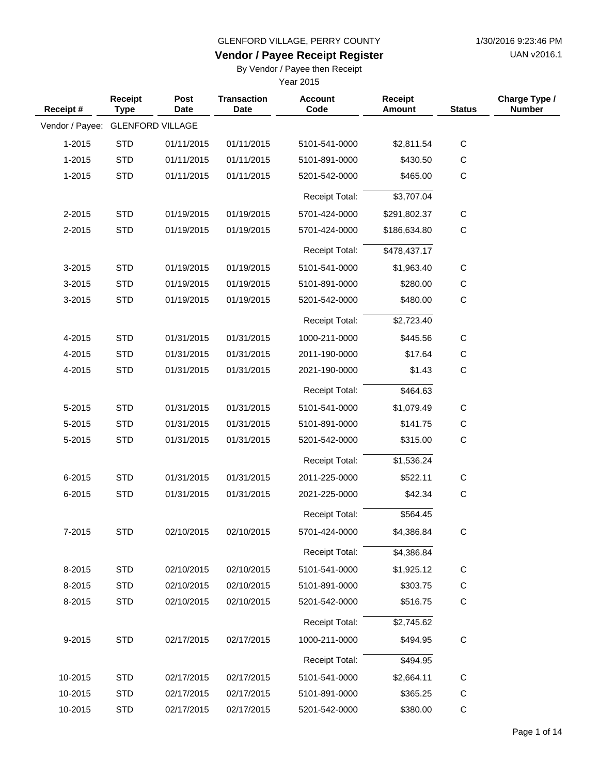UAN v2016.1

### **Vendor / Payee Receipt Register**

By Vendor / Payee then Receipt

| Receipt#        | Receipt<br><b>Type</b> | Post<br><b>Date</b>     | <b>Transaction</b><br><b>Date</b> | <b>Account</b><br>Code | <b>Receipt</b><br><b>Amount</b> | <b>Status</b> | Charge Type /<br><b>Number</b> |
|-----------------|------------------------|-------------------------|-----------------------------------|------------------------|---------------------------------|---------------|--------------------------------|
| Vendor / Payee: |                        | <b>GLENFORD VILLAGE</b> |                                   |                        |                                 |               |                                |
| 1-2015          | <b>STD</b>             | 01/11/2015              | 01/11/2015                        | 5101-541-0000          | \$2,811.54                      | $\mathsf C$   |                                |
| 1-2015          | <b>STD</b>             | 01/11/2015              | 01/11/2015                        | 5101-891-0000          | \$430.50                        | C             |                                |
| 1-2015          | <b>STD</b>             | 01/11/2015              | 01/11/2015                        | 5201-542-0000          | \$465.00                        | C             |                                |
|                 |                        |                         |                                   | <b>Receipt Total:</b>  | \$3,707.04                      |               |                                |
| 2-2015          | <b>STD</b>             | 01/19/2015              | 01/19/2015                        | 5701-424-0000          | \$291,802.37                    | $\mathbf C$   |                                |
| 2-2015          | <b>STD</b>             | 01/19/2015              | 01/19/2015                        | 5701-424-0000          | \$186,634.80                    | C             |                                |
|                 |                        |                         |                                   | <b>Receipt Total:</b>  | \$478,437.17                    |               |                                |
| 3-2015          | <b>STD</b>             | 01/19/2015              | 01/19/2015                        | 5101-541-0000          | \$1,963.40                      | $\mathsf C$   |                                |
| 3-2015          | <b>STD</b>             | 01/19/2015              | 01/19/2015                        | 5101-891-0000          | \$280.00                        | $\mathsf{C}$  |                                |
| 3-2015          | <b>STD</b>             | 01/19/2015              | 01/19/2015                        | 5201-542-0000          | \$480.00                        | C             |                                |
|                 |                        |                         |                                   | <b>Receipt Total:</b>  | \$2,723.40                      |               |                                |
| 4-2015          | <b>STD</b>             | 01/31/2015              | 01/31/2015                        | 1000-211-0000          | \$445.56                        | $\mathsf C$   |                                |
| 4-2015          | <b>STD</b>             | 01/31/2015              | 01/31/2015                        | 2011-190-0000          | \$17.64                         | $\mathbf C$   |                                |
| 4-2015          | <b>STD</b>             | 01/31/2015              | 01/31/2015                        | 2021-190-0000          | \$1.43                          | C             |                                |
|                 |                        |                         |                                   | <b>Receipt Total:</b>  | \$464.63                        |               |                                |
| 5-2015          | <b>STD</b>             | 01/31/2015              | 01/31/2015                        | 5101-541-0000          | \$1,079.49                      | $\mathsf C$   |                                |
| 5-2015          | <b>STD</b>             | 01/31/2015              | 01/31/2015                        | 5101-891-0000          | \$141.75                        | $\mathsf{C}$  |                                |
| 5-2015          | <b>STD</b>             | 01/31/2015              | 01/31/2015                        | 5201-542-0000          | \$315.00                        | C             |                                |
|                 |                        |                         |                                   | <b>Receipt Total:</b>  | \$1,536.24                      |               |                                |
| 6-2015          | <b>STD</b>             | 01/31/2015              | 01/31/2015                        | 2011-225-0000          | \$522.11                        | $\mathsf C$   |                                |
| 6-2015          | <b>STD</b>             | 01/31/2015              | 01/31/2015                        | 2021-225-0000          | \$42.34                         | C             |                                |
|                 |                        |                         |                                   | <b>Receipt Total:</b>  | \$564.45                        |               |                                |
| 7-2015          | <b>STD</b>             | 02/10/2015              | 02/10/2015                        | 5701-424-0000          | \$4,386.84                      |               |                                |
|                 |                        |                         |                                   | Receipt Total:         | \$4,386.84                      |               |                                |
| 8-2015          | <b>STD</b>             | 02/10/2015              | 02/10/2015                        | 5101-541-0000          | \$1,925.12                      | $\mathsf C$   |                                |
| 8-2015          | <b>STD</b>             | 02/10/2015              | 02/10/2015                        | 5101-891-0000          | \$303.75                        | $\mathbf C$   |                                |
| 8-2015          | <b>STD</b>             | 02/10/2015              | 02/10/2015                        | 5201-542-0000          | \$516.75                        | $\mathbf C$   |                                |
|                 |                        |                         |                                   | Receipt Total:         | \$2,745.62                      |               |                                |
| 9-2015          | <b>STD</b>             | 02/17/2015              | 02/17/2015                        | 1000-211-0000          | \$494.95                        | C             |                                |
|                 |                        |                         |                                   | Receipt Total:         | \$494.95                        |               |                                |
| 10-2015         | <b>STD</b>             | 02/17/2015              | 02/17/2015                        | 5101-541-0000          | \$2,664.11                      | $\mathsf C$   |                                |
| 10-2015         | <b>STD</b>             | 02/17/2015              | 02/17/2015                        | 5101-891-0000          | \$365.25                        | C             |                                |
| 10-2015         | <b>STD</b>             | 02/17/2015              | 02/17/2015                        | 5201-542-0000          | \$380.00                        | C             |                                |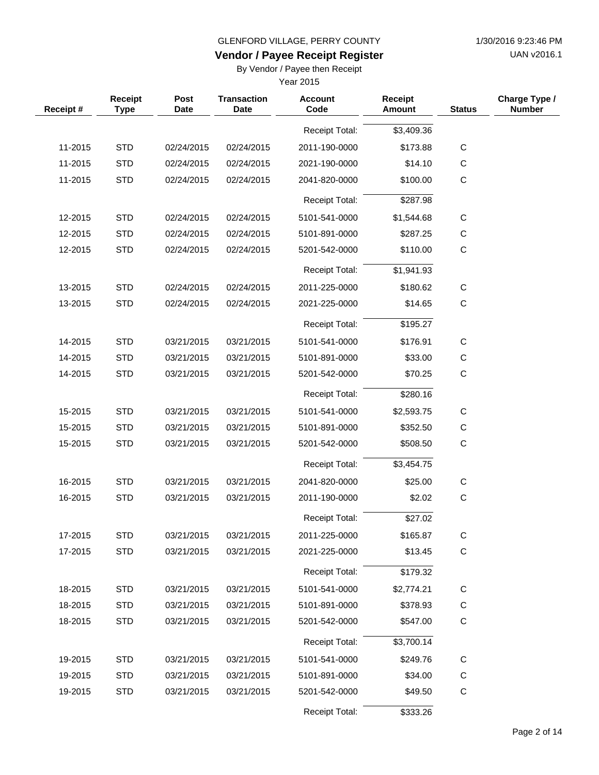UAN v2016.1

### **Vendor / Payee Receipt Register**

By Vendor / Payee then Receipt

| Receipt# | Receipt<br><b>Type</b> | Post<br><b>Date</b> | <b>Transaction</b><br><b>Date</b> | <b>Account</b><br>Code | Receipt<br><b>Amount</b> | <b>Status</b> | Charge Type /<br><b>Number</b> |
|----------|------------------------|---------------------|-----------------------------------|------------------------|--------------------------|---------------|--------------------------------|
|          |                        |                     |                                   | Receipt Total:         | \$3,409.36               |               |                                |
| 11-2015  | <b>STD</b>             | 02/24/2015          | 02/24/2015                        | 2011-190-0000          | \$173.88                 | $\mathbf C$   |                                |
| 11-2015  | <b>STD</b>             | 02/24/2015          | 02/24/2015                        | 2021-190-0000          | \$14.10                  | C             |                                |
| 11-2015  | <b>STD</b>             | 02/24/2015          | 02/24/2015                        | 2041-820-0000          | \$100.00                 | C             |                                |
|          |                        |                     |                                   | Receipt Total:         | \$287.98                 |               |                                |
| 12-2015  | <b>STD</b>             | 02/24/2015          | 02/24/2015                        | 5101-541-0000          | \$1,544.68               | $\mathbf C$   |                                |
| 12-2015  | <b>STD</b>             | 02/24/2015          | 02/24/2015                        | 5101-891-0000          | \$287.25                 | C             |                                |
| 12-2015  | <b>STD</b>             | 02/24/2015          | 02/24/2015                        | 5201-542-0000          | \$110.00                 | C             |                                |
|          |                        |                     |                                   | <b>Receipt Total:</b>  | \$1,941.93               |               |                                |
| 13-2015  | <b>STD</b>             | 02/24/2015          | 02/24/2015                        | 2011-225-0000          | \$180.62                 | C             |                                |
| 13-2015  | <b>STD</b>             | 02/24/2015          | 02/24/2015                        | 2021-225-0000          | \$14.65                  | $\mathbf C$   |                                |
|          |                        |                     |                                   | Receipt Total:         | \$195.27                 |               |                                |
| 14-2015  | <b>STD</b>             | 03/21/2015          | 03/21/2015                        | 5101-541-0000          | \$176.91                 | $\mathbf C$   |                                |
| 14-2015  | <b>STD</b>             | 03/21/2015          | 03/21/2015                        | 5101-891-0000          | \$33.00                  | C             |                                |
| 14-2015  | <b>STD</b>             | 03/21/2015          | 03/21/2015                        | 5201-542-0000          | \$70.25                  | $\mathbf C$   |                                |
|          |                        |                     |                                   | Receipt Total:         | \$280.16                 |               |                                |
| 15-2015  | <b>STD</b>             | 03/21/2015          | 03/21/2015                        | 5101-541-0000          | \$2,593.75               | $\mathbf C$   |                                |
| 15-2015  | <b>STD</b>             | 03/21/2015          | 03/21/2015                        | 5101-891-0000          | \$352.50                 | С             |                                |
| 15-2015  | <b>STD</b>             | 03/21/2015          | 03/21/2015                        | 5201-542-0000          | \$508.50                 | С             |                                |
|          |                        |                     |                                   | <b>Receipt Total:</b>  | \$3,454.75               |               |                                |
| 16-2015  | <b>STD</b>             | 03/21/2015          | 03/21/2015                        | 2041-820-0000          | \$25.00                  | $\mathbf C$   |                                |
| 16-2015  | <b>STD</b>             | 03/21/2015          | 03/21/2015                        | 2011-190-0000          | \$2.02                   | $\mathbf C$   |                                |
|          |                        |                     |                                   | Receipt Total:         | \$27.02                  |               |                                |
| 17-2015  | <b>STD</b>             | 03/21/2015          | 03/21/2015                        | 2011-225-0000          | \$165.87                 | С             |                                |
| 17-2015  | <b>STD</b>             | 03/21/2015          | 03/21/2015                        | 2021-225-0000          | \$13.45                  | $\mathbf C$   |                                |
|          |                        |                     |                                   | Receipt Total:         | \$179.32                 |               |                                |
| 18-2015  | <b>STD</b>             | 03/21/2015          | 03/21/2015                        | 5101-541-0000          | \$2,774.21               | $\mathsf{C}$  |                                |
| 18-2015  | <b>STD</b>             | 03/21/2015          | 03/21/2015                        | 5101-891-0000          | \$378.93                 | C             |                                |
| 18-2015  | <b>STD</b>             | 03/21/2015          | 03/21/2015                        | 5201-542-0000          | \$547.00                 | C             |                                |
|          |                        |                     |                                   | <b>Receipt Total:</b>  | \$3,700.14               |               |                                |
| 19-2015  | <b>STD</b>             | 03/21/2015          | 03/21/2015                        | 5101-541-0000          | \$249.76                 | C             |                                |
| 19-2015  | <b>STD</b>             | 03/21/2015          | 03/21/2015                        | 5101-891-0000          | \$34.00                  | C             |                                |
| 19-2015  | <b>STD</b>             | 03/21/2015          | 03/21/2015                        | 5201-542-0000          | \$49.50                  | C             |                                |
|          |                        |                     |                                   | Receipt Total:         | \$333.26                 |               |                                |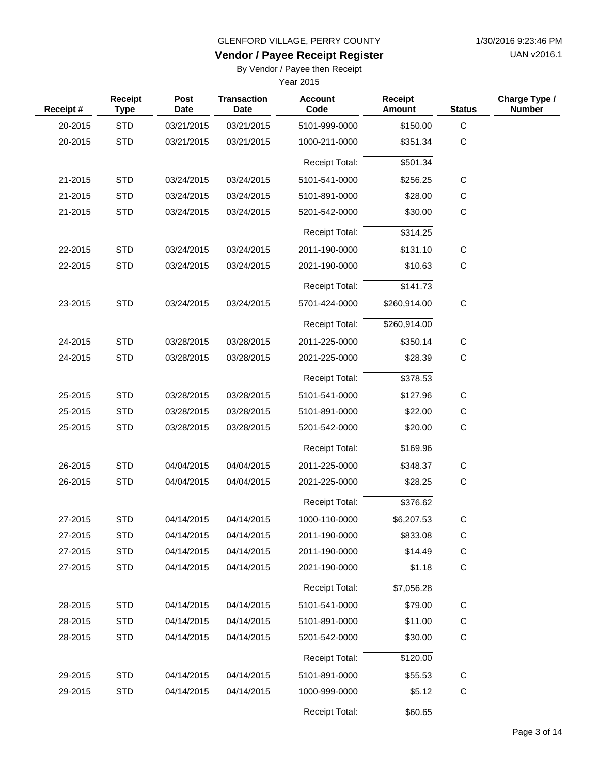UAN v2016.1

## **Vendor / Payee Receipt Register**

By Vendor / Payee then Receipt

| Receipt# | Receipt<br><b>Type</b> | Post<br><b>Date</b> | <b>Transaction</b><br><b>Date</b> | <b>Account</b><br>Code | <b>Receipt</b><br><b>Amount</b> | <b>Status</b> | Charge Type /<br><b>Number</b> |
|----------|------------------------|---------------------|-----------------------------------|------------------------|---------------------------------|---------------|--------------------------------|
| 20-2015  | <b>STD</b>             | 03/21/2015          | 03/21/2015                        | 5101-999-0000          | \$150.00                        | $\mathsf C$   |                                |
| 20-2015  | <b>STD</b>             | 03/21/2015          | 03/21/2015                        | 1000-211-0000          | \$351.34                        | $\mathsf C$   |                                |
|          |                        |                     |                                   | <b>Receipt Total:</b>  | \$501.34                        |               |                                |
| 21-2015  | <b>STD</b>             | 03/24/2015          | 03/24/2015                        | 5101-541-0000          | \$256.25                        | $\mathsf{C}$  |                                |
| 21-2015  | <b>STD</b>             | 03/24/2015          | 03/24/2015                        | 5101-891-0000          | \$28.00                         | C             |                                |
| 21-2015  | <b>STD</b>             | 03/24/2015          | 03/24/2015                        | 5201-542-0000          | \$30.00                         | $\mathbf C$   |                                |
|          |                        |                     |                                   | Receipt Total:         | \$314.25                        |               |                                |
| 22-2015  | <b>STD</b>             | 03/24/2015          | 03/24/2015                        | 2011-190-0000          | \$131.10                        | $\mathsf{C}$  |                                |
| 22-2015  | <b>STD</b>             | 03/24/2015          | 03/24/2015                        | 2021-190-0000          | \$10.63                         | $\mathsf C$   |                                |
|          |                        |                     |                                   | <b>Receipt Total:</b>  | \$141.73                        |               |                                |
| 23-2015  | <b>STD</b>             | 03/24/2015          | 03/24/2015                        | 5701-424-0000          | \$260,914.00                    | $\mathsf{C}$  |                                |
|          |                        |                     |                                   | <b>Receipt Total:</b>  | \$260,914.00                    |               |                                |
| 24-2015  | <b>STD</b>             | 03/28/2015          | 03/28/2015                        | 2011-225-0000          | \$350.14                        | $\mathsf C$   |                                |
| 24-2015  | <b>STD</b>             | 03/28/2015          | 03/28/2015                        | 2021-225-0000          | \$28.39                         | $\mathsf C$   |                                |
|          |                        |                     |                                   | <b>Receipt Total:</b>  | \$378.53                        |               |                                |
| 25-2015  | <b>STD</b>             | 03/28/2015          | 03/28/2015                        | 5101-541-0000          | \$127.96                        | $\mathsf C$   |                                |
| 25-2015  | <b>STD</b>             | 03/28/2015          | 03/28/2015                        | 5101-891-0000          | \$22.00                         | $\mathsf C$   |                                |
| 25-2015  | <b>STD</b>             | 03/28/2015          | 03/28/2015                        | 5201-542-0000          | \$20.00                         | $\mathsf C$   |                                |
|          |                        |                     |                                   | <b>Receipt Total:</b>  | \$169.96                        |               |                                |
| 26-2015  | <b>STD</b>             | 04/04/2015          | 04/04/2015                        | 2011-225-0000          | \$348.37                        | C             |                                |
| 26-2015  | <b>STD</b>             | 04/04/2015          | 04/04/2015                        | 2021-225-0000          | \$28.25                         | $\mathsf C$   |                                |
|          |                        |                     |                                   | Receipt Total:         | \$376.62                        |               |                                |
| 27-2015  | <b>STD</b>             | 04/14/2015          | 04/14/2015                        | 1000-110-0000          | \$6,207.53                      | $\mathsf C$   |                                |
| 27-2015  | <b>STD</b>             | 04/14/2015          | 04/14/2015                        | 2011-190-0000          | \$833.08                        | C             |                                |
| 27-2015  | <b>STD</b>             | 04/14/2015          | 04/14/2015                        | 2011-190-0000          | \$14.49                         | C             |                                |
| 27-2015  | <b>STD</b>             | 04/14/2015          | 04/14/2015                        | 2021-190-0000          | \$1.18                          | $\mathbf C$   |                                |
|          |                        |                     |                                   | <b>Receipt Total:</b>  | \$7,056.28                      |               |                                |
| 28-2015  | <b>STD</b>             | 04/14/2015          | 04/14/2015                        | 5101-541-0000          | \$79.00                         | $\mathsf C$   |                                |
| 28-2015  | <b>STD</b>             | 04/14/2015          | 04/14/2015                        | 5101-891-0000          | \$11.00                         | С             |                                |
| 28-2015  | <b>STD</b>             | 04/14/2015          | 04/14/2015                        | 5201-542-0000          | \$30.00                         | C             |                                |
|          |                        |                     |                                   | <b>Receipt Total:</b>  | \$120.00                        |               |                                |
| 29-2015  | <b>STD</b>             | 04/14/2015          | 04/14/2015                        | 5101-891-0000          | \$55.53                         | $\mathsf C$   |                                |
| 29-2015  | <b>STD</b>             | 04/14/2015          | 04/14/2015                        | 1000-999-0000          | \$5.12                          | C             |                                |
|          |                        |                     |                                   | <b>Receipt Total:</b>  | \$60.65                         |               |                                |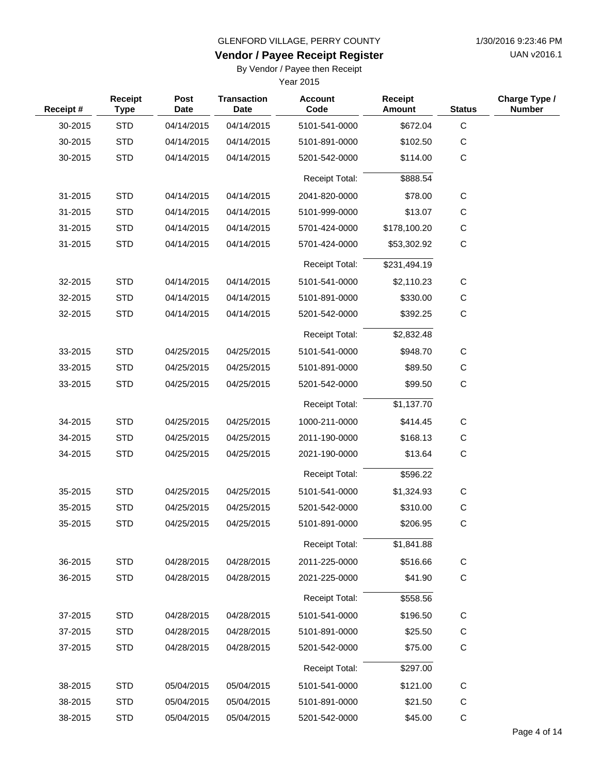UAN v2016.1

### **Vendor / Payee Receipt Register**

By Vendor / Payee then Receipt

| Receipt# | <b>Receipt</b><br><b>Type</b> | Post<br><b>Date</b> | <b>Transaction</b><br>Date | <b>Account</b><br>Code | <b>Receipt</b><br><b>Amount</b> | <b>Status</b> | Charge Type /<br><b>Number</b> |
|----------|-------------------------------|---------------------|----------------------------|------------------------|---------------------------------|---------------|--------------------------------|
| 30-2015  | <b>STD</b>                    | 04/14/2015          | 04/14/2015                 | 5101-541-0000          | \$672.04                        | $\mathbf C$   |                                |
| 30-2015  | <b>STD</b>                    | 04/14/2015          | 04/14/2015                 | 5101-891-0000          | \$102.50                        | C             |                                |
| 30-2015  | <b>STD</b>                    | 04/14/2015          | 04/14/2015                 | 5201-542-0000          | \$114.00                        | C             |                                |
|          |                               |                     |                            | <b>Receipt Total:</b>  | \$888.54                        |               |                                |
| 31-2015  | <b>STD</b>                    | 04/14/2015          | 04/14/2015                 | 2041-820-0000          | \$78.00                         | C             |                                |
| 31-2015  | <b>STD</b>                    | 04/14/2015          | 04/14/2015                 | 5101-999-0000          | \$13.07                         | C             |                                |
| 31-2015  | <b>STD</b>                    | 04/14/2015          | 04/14/2015                 | 5701-424-0000          | \$178,100.20                    | C             |                                |
| 31-2015  | <b>STD</b>                    | 04/14/2015          | 04/14/2015                 | 5701-424-0000          | \$53,302.92                     | С             |                                |
|          |                               |                     |                            | <b>Receipt Total:</b>  | \$231,494.19                    |               |                                |
| 32-2015  | <b>STD</b>                    | 04/14/2015          | 04/14/2015                 | 5101-541-0000          | \$2,110.23                      | C             |                                |
| 32-2015  | <b>STD</b>                    | 04/14/2015          | 04/14/2015                 | 5101-891-0000          | \$330.00                        | С             |                                |
| 32-2015  | <b>STD</b>                    | 04/14/2015          | 04/14/2015                 | 5201-542-0000          | \$392.25                        | С             |                                |
|          |                               |                     |                            | <b>Receipt Total:</b>  | \$2,832.48                      |               |                                |
| 33-2015  | <b>STD</b>                    | 04/25/2015          | 04/25/2015                 | 5101-541-0000          | \$948.70                        | $\mathsf{C}$  |                                |
| 33-2015  | <b>STD</b>                    | 04/25/2015          | 04/25/2015                 | 5101-891-0000          | \$89.50                         | С             |                                |
| 33-2015  | <b>STD</b>                    | 04/25/2015          | 04/25/2015                 | 5201-542-0000          | \$99.50                         | С             |                                |
|          |                               |                     |                            | <b>Receipt Total:</b>  | \$1,137.70                      |               |                                |
| 34-2015  | <b>STD</b>                    | 04/25/2015          | 04/25/2015                 | 1000-211-0000          | \$414.45                        | C             |                                |
| 34-2015  | <b>STD</b>                    | 04/25/2015          | 04/25/2015                 | 2011-190-0000          | \$168.13                        | C             |                                |
| 34-2015  | <b>STD</b>                    | 04/25/2015          | 04/25/2015                 | 2021-190-0000          | \$13.64                         | С             |                                |
|          |                               |                     |                            | <b>Receipt Total:</b>  | \$596.22                        |               |                                |
| 35-2015  | <b>STD</b>                    | 04/25/2015          | 04/25/2015                 | 5101-541-0000          | \$1,324.93                      | C             |                                |
| 35-2015  | <b>STD</b>                    | 04/25/2015          | 04/25/2015                 | 5201-542-0000          | \$310.00                        | C             |                                |
| 35-2015  | <b>STD</b>                    | 04/25/2015          | 04/25/2015                 | 5101-891-0000          | \$206.95                        | C             |                                |
|          |                               |                     |                            | <b>Receipt Total:</b>  | \$1,841.88                      |               |                                |
| 36-2015  | <b>STD</b>                    | 04/28/2015          | 04/28/2015                 | 2011-225-0000          | \$516.66                        | $\mathbf C$   |                                |
| 36-2015  | <b>STD</b>                    | 04/28/2015          | 04/28/2015                 | 2021-225-0000          | \$41.90                         | С             |                                |
|          |                               |                     |                            | <b>Receipt Total:</b>  | \$558.56                        |               |                                |
| 37-2015  | <b>STD</b>                    | 04/28/2015          | 04/28/2015                 | 5101-541-0000          | \$196.50                        | C             |                                |
| 37-2015  | <b>STD</b>                    | 04/28/2015          | 04/28/2015                 | 5101-891-0000          | \$25.50                         | C             |                                |
| 37-2015  | <b>STD</b>                    | 04/28/2015          | 04/28/2015                 | 5201-542-0000          | \$75.00                         | C             |                                |
|          |                               |                     |                            | Receipt Total:         | \$297.00                        |               |                                |
| 38-2015  | <b>STD</b>                    | 05/04/2015          | 05/04/2015                 | 5101-541-0000          | \$121.00                        | C             |                                |
| 38-2015  | <b>STD</b>                    | 05/04/2015          | 05/04/2015                 | 5101-891-0000          | \$21.50                         | $\mathsf C$   |                                |
| 38-2015  | <b>STD</b>                    | 05/04/2015          | 05/04/2015                 | 5201-542-0000          | \$45.00                         | C             |                                |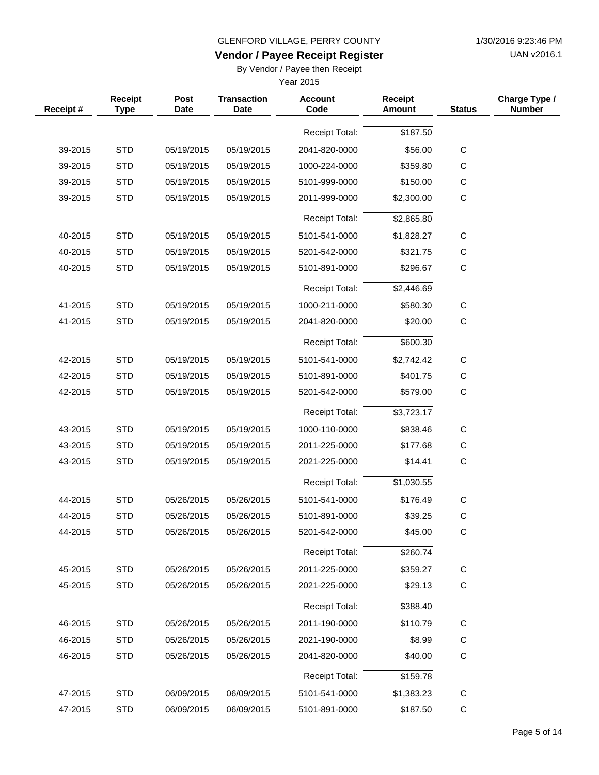UAN v2016.1

# **Vendor / Payee Receipt Register**

By Vendor / Payee then Receipt

| Receipt# | Receipt<br><b>Type</b> | Post<br><b>Date</b> | <b>Transaction</b><br><b>Date</b> | <b>Account</b><br>Code | <b>Receipt</b><br><b>Amount</b> | <b>Status</b> | Charge Type /<br><b>Number</b> |
|----------|------------------------|---------------------|-----------------------------------|------------------------|---------------------------------|---------------|--------------------------------|
|          |                        |                     |                                   | Receipt Total:         | \$187.50                        |               |                                |
| 39-2015  | <b>STD</b>             | 05/19/2015          | 05/19/2015                        | 2041-820-0000          | \$56.00                         | $\mathsf C$   |                                |
| 39-2015  | <b>STD</b>             | 05/19/2015          | 05/19/2015                        | 1000-224-0000          | \$359.80                        | $\mathsf C$   |                                |
| 39-2015  | <b>STD</b>             | 05/19/2015          | 05/19/2015                        | 5101-999-0000          | \$150.00                        | C             |                                |
| 39-2015  | <b>STD</b>             | 05/19/2015          | 05/19/2015                        | 2011-999-0000          | \$2,300.00                      | C             |                                |
|          |                        |                     |                                   | <b>Receipt Total:</b>  | \$2,865.80                      |               |                                |
| 40-2015  | <b>STD</b>             | 05/19/2015          | 05/19/2015                        | 5101-541-0000          | \$1,828.27                      | C             |                                |
| 40-2015  | <b>STD</b>             | 05/19/2015          | 05/19/2015                        | 5201-542-0000          | \$321.75                        | C             |                                |
| 40-2015  | <b>STD</b>             | 05/19/2015          | 05/19/2015                        | 5101-891-0000          | \$296.67                        | C             |                                |
|          |                        |                     |                                   | <b>Receipt Total:</b>  | \$2,446.69                      |               |                                |
| 41-2015  | <b>STD</b>             | 05/19/2015          | 05/19/2015                        | 1000-211-0000          | \$580.30                        | C             |                                |
| 41-2015  | <b>STD</b>             | 05/19/2015          | 05/19/2015                        | 2041-820-0000          | \$20.00                         | C             |                                |
|          |                        |                     |                                   | <b>Receipt Total:</b>  | \$600.30                        |               |                                |
| 42-2015  | <b>STD</b>             | 05/19/2015          | 05/19/2015                        | 5101-541-0000          | \$2,742.42                      | $\mathsf C$   |                                |
| 42-2015  | <b>STD</b>             | 05/19/2015          | 05/19/2015                        | 5101-891-0000          | \$401.75                        | C             |                                |
| 42-2015  | <b>STD</b>             | 05/19/2015          | 05/19/2015                        | 5201-542-0000          | \$579.00                        | C             |                                |
|          |                        |                     |                                   | <b>Receipt Total:</b>  | \$3,723.17                      |               |                                |
| 43-2015  | <b>STD</b>             | 05/19/2015          | 05/19/2015                        | 1000-110-0000          | \$838.46                        | C             |                                |
| 43-2015  | <b>STD</b>             | 05/19/2015          | 05/19/2015                        | 2011-225-0000          | \$177.68                        | $\mathsf{C}$  |                                |
| 43-2015  | <b>STD</b>             | 05/19/2015          | 05/19/2015                        | 2021-225-0000          | \$14.41                         | $\mathsf{C}$  |                                |
|          |                        |                     |                                   | <b>Receipt Total:</b>  | \$1,030.55                      |               |                                |
| 44-2015  | <b>STD</b>             | 05/26/2015          | 05/26/2015                        | 5101-541-0000          | \$176.49                        | $\mathsf{C}$  |                                |
| 44-2015  | <b>STD</b>             | 05/26/2015          | 05/26/2015                        | 5101-891-0000          | \$39.25                         | C             |                                |
| 44-2015  | <b>STD</b>             | 05/26/2015          | 05/26/2015                        | 5201-542-0000          | \$45.00                         | С             |                                |
|          |                        |                     |                                   | <b>Receipt Total:</b>  | \$260.74                        |               |                                |
| 45-2015  | <b>STD</b>             | 05/26/2015          | 05/26/2015                        | 2011-225-0000          | \$359.27                        | $\mathsf C$   |                                |
| 45-2015  | <b>STD</b>             | 05/26/2015          | 05/26/2015                        | 2021-225-0000          | \$29.13                         | $\mathbf C$   |                                |
|          |                        |                     |                                   | Receipt Total:         | \$388.40                        |               |                                |
| 46-2015  | <b>STD</b>             | 05/26/2015          | 05/26/2015                        | 2011-190-0000          | \$110.79                        | $\mathsf C$   |                                |
| 46-2015  | <b>STD</b>             | 05/26/2015          | 05/26/2015                        | 2021-190-0000          | \$8.99                          | $\mathsf C$   |                                |
| 46-2015  | <b>STD</b>             | 05/26/2015          | 05/26/2015                        | 2041-820-0000          | \$40.00                         | $\mathbf C$   |                                |
|          |                        |                     |                                   | <b>Receipt Total:</b>  | \$159.78                        |               |                                |
| 47-2015  | <b>STD</b>             | 06/09/2015          | 06/09/2015                        | 5101-541-0000          | \$1,383.23                      | C             |                                |
| 47-2015  | <b>STD</b>             | 06/09/2015          | 06/09/2015                        | 5101-891-0000          | \$187.50                        | $\mathsf C$   |                                |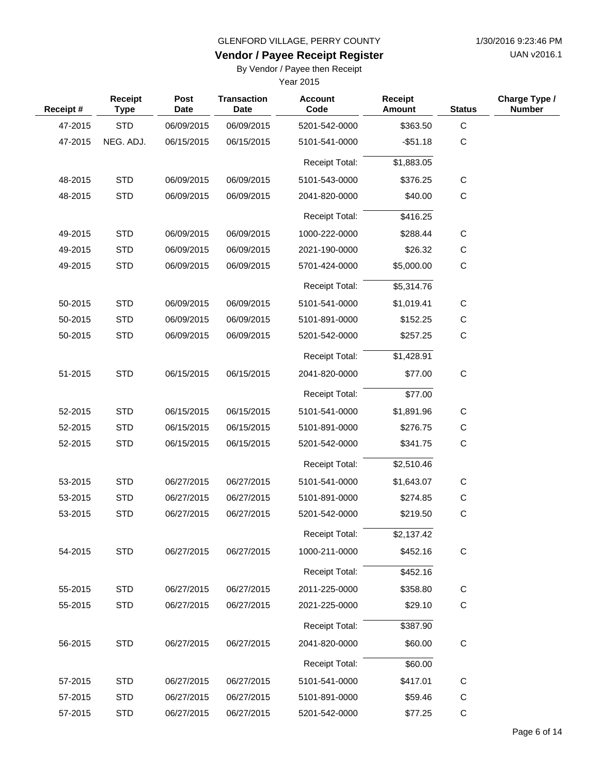UAN v2016.1

## **Vendor / Payee Receipt Register**

By Vendor / Payee then Receipt

| Receipt# | Receipt<br><b>Type</b> | Post<br><b>Date</b> | <b>Transaction</b><br><b>Date</b> | <b>Account</b><br>Code | Receipt<br><b>Amount</b> | <b>Status</b> | Charge Type /<br><b>Number</b> |
|----------|------------------------|---------------------|-----------------------------------|------------------------|--------------------------|---------------|--------------------------------|
| 47-2015  | <b>STD</b>             | 06/09/2015          | 06/09/2015                        | 5201-542-0000          | \$363.50                 | $\mathbf C$   |                                |
| 47-2015  | NEG. ADJ.              | 06/15/2015          | 06/15/2015                        | 5101-541-0000          | $-$ \$51.18              | C             |                                |
|          |                        |                     |                                   | Receipt Total:         | \$1,883.05               |               |                                |
| 48-2015  | <b>STD</b>             | 06/09/2015          | 06/09/2015                        | 5101-543-0000          | \$376.25                 | $\mathbf C$   |                                |
| 48-2015  | <b>STD</b>             | 06/09/2015          | 06/09/2015                        | 2041-820-0000          | \$40.00                  | $\mathbf C$   |                                |
|          |                        |                     |                                   | <b>Receipt Total:</b>  | \$416.25                 |               |                                |
| 49-2015  | <b>STD</b>             | 06/09/2015          | 06/09/2015                        | 1000-222-0000          | \$288.44                 | C             |                                |
| 49-2015  | <b>STD</b>             | 06/09/2015          | 06/09/2015                        | 2021-190-0000          | \$26.32                  | $\mathsf C$   |                                |
| 49-2015  | <b>STD</b>             | 06/09/2015          | 06/09/2015                        | 5701-424-0000          | \$5,000.00               | C             |                                |
|          |                        |                     |                                   | Receipt Total:         | \$5,314.76               |               |                                |
| 50-2015  | <b>STD</b>             | 06/09/2015          | 06/09/2015                        | 5101-541-0000          | \$1,019.41               | $\mathbf C$   |                                |
| 50-2015  | <b>STD</b>             | 06/09/2015          | 06/09/2015                        | 5101-891-0000          | \$152.25                 | $\mathsf C$   |                                |
| 50-2015  | <b>STD</b>             | 06/09/2015          | 06/09/2015                        | 5201-542-0000          | \$257.25                 | $\mathbf C$   |                                |
|          |                        |                     |                                   | <b>Receipt Total:</b>  | \$1,428.91               |               |                                |
| 51-2015  | <b>STD</b>             | 06/15/2015          | 06/15/2015                        | 2041-820-0000          | \$77.00                  | $\mathbf C$   |                                |
|          |                        |                     |                                   | <b>Receipt Total:</b>  | \$77.00                  |               |                                |
| 52-2015  | <b>STD</b>             | 06/15/2015          | 06/15/2015                        | 5101-541-0000          | \$1,891.96               | C             |                                |
| 52-2015  | <b>STD</b>             | 06/15/2015          | 06/15/2015                        | 5101-891-0000          | \$276.75                 | C             |                                |
| 52-2015  | <b>STD</b>             | 06/15/2015          | 06/15/2015                        | 5201-542-0000          | \$341.75                 | $\mathbf C$   |                                |
|          |                        |                     |                                   | <b>Receipt Total:</b>  | \$2,510.46               |               |                                |
| 53-2015  | <b>STD</b>             | 06/27/2015          | 06/27/2015                        | 5101-541-0000          | \$1,643.07               | $\mathsf{C}$  |                                |
| 53-2015  | <b>STD</b>             | 06/27/2015          | 06/27/2015                        | 5101-891-0000          | \$274.85                 | C             |                                |
| 53-2015  | <b>STD</b>             | 06/27/2015          | 06/27/2015                        | 5201-542-0000          | \$219.50                 | $\mathsf C$   |                                |
|          |                        |                     |                                   | Receipt Total:         | \$2,137.42               |               |                                |
| 54-2015  | <b>STD</b>             | 06/27/2015          | 06/27/2015                        | 1000-211-0000          | \$452.16                 | $\mathsf C$   |                                |
|          |                        |                     |                                   | Receipt Total:         | \$452.16                 |               |                                |
| 55-2015  | <b>STD</b>             | 06/27/2015          | 06/27/2015                        | 2011-225-0000          | \$358.80                 | $\mathsf C$   |                                |
| 55-2015  | <b>STD</b>             | 06/27/2015          | 06/27/2015                        | 2021-225-0000          | \$29.10                  | $\mathsf C$   |                                |
|          |                        |                     |                                   | Receipt Total:         | \$387.90                 |               |                                |
| 56-2015  | <b>STD</b>             | 06/27/2015          | 06/27/2015                        | 2041-820-0000          | \$60.00                  | ${\bf C}$     |                                |
|          |                        |                     |                                   | Receipt Total:         | \$60.00                  |               |                                |
| 57-2015  | <b>STD</b>             | 06/27/2015          | 06/27/2015                        | 5101-541-0000          | \$417.01                 | $\mathsf C$   |                                |
| 57-2015  | <b>STD</b>             | 06/27/2015          | 06/27/2015                        | 5101-891-0000          | \$59.46                  | $\mathsf C$   |                                |
| 57-2015  | <b>STD</b>             | 06/27/2015          | 06/27/2015                        | 5201-542-0000          | \$77.25                  | $\mathsf C$   |                                |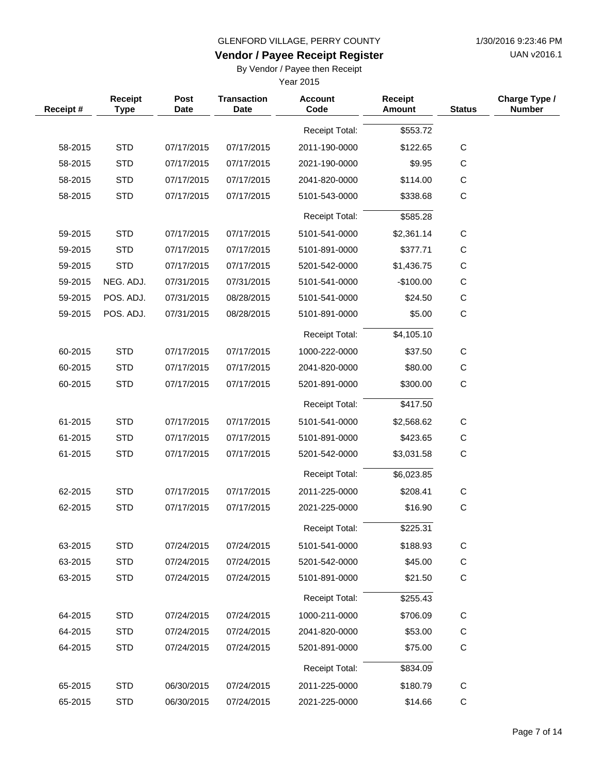UAN v2016.1

### **Vendor / Payee Receipt Register**

By Vendor / Payee then Receipt

| Receipt# | Receipt<br><b>Type</b> | Post<br><b>Date</b> | <b>Transaction</b><br><b>Date</b> | <b>Account</b><br>Code | <b>Receipt</b><br><b>Amount</b> | <b>Status</b> | Charge Type /<br><b>Number</b> |
|----------|------------------------|---------------------|-----------------------------------|------------------------|---------------------------------|---------------|--------------------------------|
|          |                        |                     |                                   | Receipt Total:         | \$553.72                        |               |                                |
| 58-2015  | <b>STD</b>             | 07/17/2015          | 07/17/2015                        | 2011-190-0000          | \$122.65                        | $\mathbf C$   |                                |
| 58-2015  | <b>STD</b>             | 07/17/2015          | 07/17/2015                        | 2021-190-0000          | \$9.95                          | $\mathsf{C}$  |                                |
| 58-2015  | <b>STD</b>             | 07/17/2015          | 07/17/2015                        | 2041-820-0000          | \$114.00                        | $\mathbf C$   |                                |
| 58-2015  | <b>STD</b>             | 07/17/2015          | 07/17/2015                        | 5101-543-0000          | \$338.68                        | $\mathsf C$   |                                |
|          |                        |                     |                                   | <b>Receipt Total:</b>  | \$585.28                        |               |                                |
| 59-2015  | <b>STD</b>             | 07/17/2015          | 07/17/2015                        | 5101-541-0000          | \$2,361.14                      | $\mathsf{C}$  |                                |
| 59-2015  | <b>STD</b>             | 07/17/2015          | 07/17/2015                        | 5101-891-0000          | \$377.71                        | C             |                                |
| 59-2015  | <b>STD</b>             | 07/17/2015          | 07/17/2015                        | 5201-542-0000          | \$1,436.75                      | $\mathsf C$   |                                |
| 59-2015  | NEG. ADJ.              | 07/31/2015          | 07/31/2015                        | 5101-541-0000          | $-$100.00$                      | C             |                                |
| 59-2015  | POS. ADJ.              | 07/31/2015          | 08/28/2015                        | 5101-541-0000          | \$24.50                         | С             |                                |
| 59-2015  | POS. ADJ.              | 07/31/2015          | 08/28/2015                        | 5101-891-0000          | \$5.00                          | $\mathbf C$   |                                |
|          |                        |                     |                                   | <b>Receipt Total:</b>  | \$4,105.10                      |               |                                |
| 60-2015  | <b>STD</b>             | 07/17/2015          | 07/17/2015                        | 1000-222-0000          | \$37.50                         | C             |                                |
| 60-2015  | <b>STD</b>             | 07/17/2015          | 07/17/2015                        | 2041-820-0000          | \$80.00                         | С             |                                |
| 60-2015  | <b>STD</b>             | 07/17/2015          | 07/17/2015                        | 5201-891-0000          | \$300.00                        | $\mathsf C$   |                                |
|          |                        |                     |                                   | <b>Receipt Total:</b>  | \$417.50                        |               |                                |
| 61-2015  | <b>STD</b>             | 07/17/2015          | 07/17/2015                        | 5101-541-0000          | \$2,568.62                      | $\mathsf{C}$  |                                |
| 61-2015  | <b>STD</b>             | 07/17/2015          | 07/17/2015                        | 5101-891-0000          | \$423.65                        | С             |                                |
| 61-2015  | <b>STD</b>             | 07/17/2015          | 07/17/2015                        | 5201-542-0000          | \$3,031.58                      | $\mathsf C$   |                                |
|          |                        |                     |                                   | <b>Receipt Total:</b>  | \$6,023.85                      |               |                                |
| 62-2015  | <b>STD</b>             | 07/17/2015          | 07/17/2015                        | 2011-225-0000          | \$208.41                        | C             |                                |
| 62-2015  | <b>STD</b>             | 07/17/2015          | 07/17/2015                        | 2021-225-0000          | \$16.90                         | $\mathsf C$   |                                |
|          |                        |                     |                                   | <b>Receipt Total:</b>  | \$225.31                        |               |                                |
| 63-2015  | <b>STD</b>             | 07/24/2015          | 07/24/2015                        | 5101-541-0000          | \$188.93                        | $\mathsf C$   |                                |
| 63-2015  | <b>STD</b>             | 07/24/2015          | 07/24/2015                        | 5201-542-0000          | \$45.00                         | $\mathsf C$   |                                |
| 63-2015  | <b>STD</b>             | 07/24/2015          | 07/24/2015                        | 5101-891-0000          | \$21.50                         | $\mathsf C$   |                                |
|          |                        |                     |                                   | <b>Receipt Total:</b>  | \$255.43                        |               |                                |
| 64-2015  | <b>STD</b>             | 07/24/2015          | 07/24/2015                        | 1000-211-0000          | \$706.09                        | C             |                                |
| 64-2015  | <b>STD</b>             | 07/24/2015          | 07/24/2015                        | 2041-820-0000          | \$53.00                         | $\mathsf C$   |                                |
| 64-2015  | <b>STD</b>             | 07/24/2015          | 07/24/2015                        | 5201-891-0000          | \$75.00                         | $\mathsf C$   |                                |
|          |                        |                     |                                   | <b>Receipt Total:</b>  | \$834.09                        |               |                                |
| 65-2015  | <b>STD</b>             | 06/30/2015          | 07/24/2015                        | 2011-225-0000          | \$180.79                        | C             |                                |
| 65-2015  | <b>STD</b>             | 06/30/2015          | 07/24/2015                        | 2021-225-0000          | \$14.66                         | С             |                                |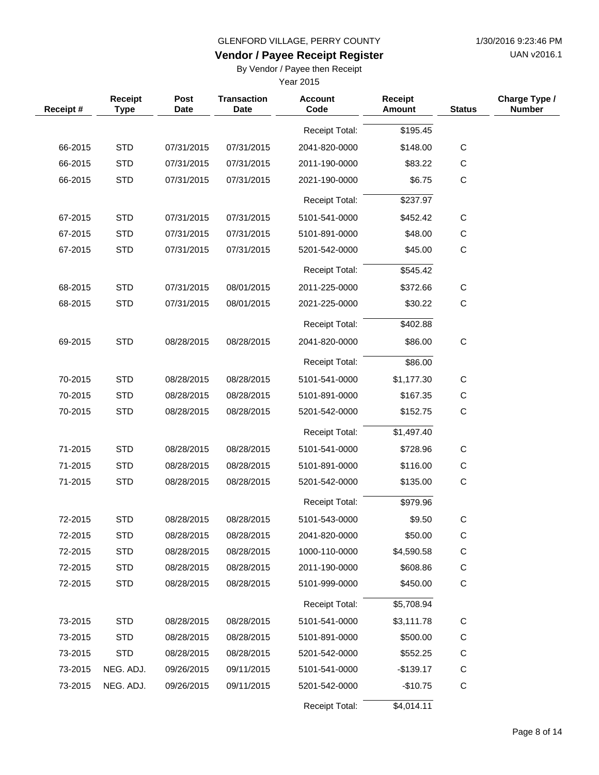UAN v2016.1

### **Vendor / Payee Receipt Register**

By Vendor / Payee then Receipt

| Receipt# | Receipt<br><b>Type</b> | Post<br>Date | <b>Transaction</b><br><b>Date</b> | <b>Account</b><br>Code | <b>Receipt</b><br><b>Amount</b> | <b>Status</b> | Charge Type /<br><b>Number</b> |
|----------|------------------------|--------------|-----------------------------------|------------------------|---------------------------------|---------------|--------------------------------|
|          |                        |              |                                   | <b>Receipt Total:</b>  | \$195.45                        |               |                                |
| 66-2015  | <b>STD</b>             | 07/31/2015   | 07/31/2015                        | 2041-820-0000          | \$148.00                        | ${\bf C}$     |                                |
| 66-2015  | <b>STD</b>             | 07/31/2015   | 07/31/2015                        | 2011-190-0000          | \$83.22                         | $\mathbf C$   |                                |
| 66-2015  | <b>STD</b>             | 07/31/2015   | 07/31/2015                        | 2021-190-0000          | \$6.75                          | $\mathbf C$   |                                |
|          |                        |              |                                   | <b>Receipt Total:</b>  | \$237.97                        |               |                                |
| 67-2015  | <b>STD</b>             | 07/31/2015   | 07/31/2015                        | 5101-541-0000          | \$452.42                        | С             |                                |
| 67-2015  | <b>STD</b>             | 07/31/2015   | 07/31/2015                        | 5101-891-0000          | \$48.00                         | $\mathsf C$   |                                |
| 67-2015  | <b>STD</b>             | 07/31/2015   | 07/31/2015                        | 5201-542-0000          | \$45.00                         | $\mathbf C$   |                                |
|          |                        |              |                                   | <b>Receipt Total:</b>  | \$545.42                        |               |                                |
| 68-2015  | <b>STD</b>             | 07/31/2015   | 08/01/2015                        | 2011-225-0000          | \$372.66                        | С             |                                |
| 68-2015  | <b>STD</b>             | 07/31/2015   | 08/01/2015                        | 2021-225-0000          | \$30.22                         | С             |                                |
|          |                        |              |                                   | <b>Receipt Total:</b>  | \$402.88                        |               |                                |
| 69-2015  | <b>STD</b>             | 08/28/2015   | 08/28/2015                        | 2041-820-0000          | \$86.00                         | $\mathbf C$   |                                |
|          |                        |              |                                   | <b>Receipt Total:</b>  | \$86.00                         |               |                                |
| 70-2015  | <b>STD</b>             | 08/28/2015   | 08/28/2015                        | 5101-541-0000          | \$1,177.30                      | С             |                                |
| 70-2015  | <b>STD</b>             | 08/28/2015   | 08/28/2015                        | 5101-891-0000          | \$167.35                        | С             |                                |
| 70-2015  | <b>STD</b>             | 08/28/2015   | 08/28/2015                        | 5201-542-0000          | \$152.75                        | $\mathbf C$   |                                |
|          |                        |              |                                   | <b>Receipt Total:</b>  | \$1,497.40                      |               |                                |
| 71-2015  | <b>STD</b>             | 08/28/2015   | 08/28/2015                        | 5101-541-0000          | \$728.96                        | C             |                                |
| 71-2015  | <b>STD</b>             | 08/28/2015   | 08/28/2015                        | 5101-891-0000          | \$116.00                        | $\mathsf C$   |                                |
| 71-2015  | <b>STD</b>             | 08/28/2015   | 08/28/2015                        | 5201-542-0000          | \$135.00                        | $\mathbf C$   |                                |
|          |                        |              |                                   | <b>Receipt Total:</b>  | \$979.96                        |               |                                |
| 72-2015  | <b>STD</b>             | 08/28/2015   | 08/28/2015                        | 5101-543-0000          | \$9.50                          | $\mathsf C$   |                                |
| 72-2015  | <b>STD</b>             | 08/28/2015   | 08/28/2015                        | 2041-820-0000          | \$50.00                         | C             |                                |
| 72-2015  | <b>STD</b>             | 08/28/2015   | 08/28/2015                        | 1000-110-0000          | \$4,590.58                      | C             |                                |
| 72-2015  | <b>STD</b>             | 08/28/2015   | 08/28/2015                        | 2011-190-0000          | \$608.86                        | $\mathsf C$   |                                |
| 72-2015  | <b>STD</b>             | 08/28/2015   | 08/28/2015                        | 5101-999-0000          | \$450.00                        | С             |                                |
|          |                        |              |                                   | <b>Receipt Total:</b>  | \$5,708.94                      |               |                                |
| 73-2015  | <b>STD</b>             | 08/28/2015   | 08/28/2015                        | 5101-541-0000          | \$3,111.78                      | C             |                                |
| 73-2015  | <b>STD</b>             | 08/28/2015   | 08/28/2015                        | 5101-891-0000          | \$500.00                        | C             |                                |
| 73-2015  | <b>STD</b>             | 08/28/2015   | 08/28/2015                        | 5201-542-0000          | \$552.25                        | $\mathsf C$   |                                |
| 73-2015  | NEG. ADJ.              | 09/26/2015   | 09/11/2015                        | 5101-541-0000          | $-$139.17$                      | С             |                                |
| 73-2015  | NEG. ADJ.              | 09/26/2015   | 09/11/2015                        | 5201-542-0000          | $-$10.75$                       | $\mathsf C$   |                                |
|          |                        |              |                                   | Receipt Total:         | \$4,014.11                      |               |                                |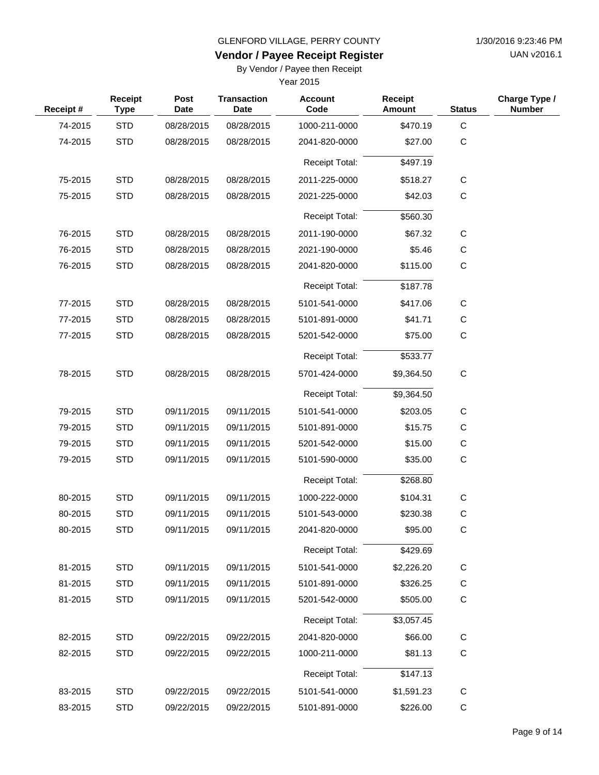UAN v2016.1

# **Vendor / Payee Receipt Register**

By Vendor / Payee then Receipt

| Receipt# | <b>Receipt</b><br><b>Type</b> | Post<br><b>Date</b> | <b>Transaction</b><br><b>Date</b> | <b>Account</b><br>Code | Receipt<br><b>Amount</b> | <b>Status</b> | Charge Type /<br><b>Number</b> |
|----------|-------------------------------|---------------------|-----------------------------------|------------------------|--------------------------|---------------|--------------------------------|
| 74-2015  | <b>STD</b>                    | 08/28/2015          | 08/28/2015                        | 1000-211-0000          | \$470.19                 | $\mathsf C$   |                                |
| 74-2015  | <b>STD</b>                    | 08/28/2015          | 08/28/2015                        | 2041-820-0000          | \$27.00                  | $\mathbf C$   |                                |
|          |                               |                     |                                   | <b>Receipt Total:</b>  | \$497.19                 |               |                                |
| 75-2015  | <b>STD</b>                    | 08/28/2015          | 08/28/2015                        | 2011-225-0000          | \$518.27                 | $\mathbf C$   |                                |
| 75-2015  | <b>STD</b>                    | 08/28/2015          | 08/28/2015                        | 2021-225-0000          | \$42.03                  | C             |                                |
|          |                               |                     |                                   | <b>Receipt Total:</b>  | \$560.30                 |               |                                |
| 76-2015  | <b>STD</b>                    | 08/28/2015          | 08/28/2015                        | 2011-190-0000          | \$67.32                  | C             |                                |
| 76-2015  | <b>STD</b>                    | 08/28/2015          | 08/28/2015                        | 2021-190-0000          | \$5.46                   | C             |                                |
| 76-2015  | <b>STD</b>                    | 08/28/2015          | 08/28/2015                        | 2041-820-0000          | \$115.00                 | $\mathbf C$   |                                |
|          |                               |                     |                                   | <b>Receipt Total:</b>  | \$187.78                 |               |                                |
| 77-2015  | <b>STD</b>                    | 08/28/2015          | 08/28/2015                        | 5101-541-0000          | \$417.06                 | C             |                                |
| 77-2015  | <b>STD</b>                    | 08/28/2015          | 08/28/2015                        | 5101-891-0000          | \$41.71                  | C             |                                |
| 77-2015  | <b>STD</b>                    | 08/28/2015          | 08/28/2015                        | 5201-542-0000          | \$75.00                  | C             |                                |
|          |                               |                     |                                   | <b>Receipt Total:</b>  | \$533.77                 |               |                                |
| 78-2015  | <b>STD</b>                    | 08/28/2015          | 08/28/2015                        | 5701-424-0000          | \$9,364.50               | $\mathbf C$   |                                |
|          |                               |                     |                                   | <b>Receipt Total:</b>  | \$9,364.50               |               |                                |
| 79-2015  | <b>STD</b>                    | 09/11/2015          | 09/11/2015                        | 5101-541-0000          | \$203.05                 | C             |                                |
| 79-2015  | <b>STD</b>                    | 09/11/2015          | 09/11/2015                        | 5101-891-0000          | \$15.75                  | C             |                                |
| 79-2015  | <b>STD</b>                    | 09/11/2015          | 09/11/2015                        | 5201-542-0000          | \$15.00                  | C             |                                |
| 79-2015  | <b>STD</b>                    | 09/11/2015          | 09/11/2015                        | 5101-590-0000          | \$35.00                  | $\mathbf C$   |                                |
|          |                               |                     |                                   | <b>Receipt Total:</b>  | \$268.80                 |               |                                |
| 80-2015  | <b>STD</b>                    | 09/11/2015          | 09/11/2015                        | 1000-222-0000          | \$104.31                 | C             |                                |
| 80-2015  | <b>STD</b>                    | 09/11/2015          | 09/11/2015                        | 5101-543-0000          | \$230.38                 | C             |                                |
| 80-2015  | <b>STD</b>                    | 09/11/2015          | 09/11/2015                        | 2041-820-0000          | \$95.00                  | C             |                                |
|          |                               |                     |                                   | <b>Receipt Total:</b>  | \$429.69                 |               |                                |
| 81-2015  | <b>STD</b>                    | 09/11/2015          | 09/11/2015                        | 5101-541-0000          | \$2,226.20               | $\mathsf C$   |                                |
| 81-2015  | <b>STD</b>                    | 09/11/2015          | 09/11/2015                        | 5101-891-0000          | \$326.25                 | C             |                                |
| 81-2015  | <b>STD</b>                    | 09/11/2015          | 09/11/2015                        | 5201-542-0000          | \$505.00                 | C             |                                |
|          |                               |                     |                                   | Receipt Total:         | \$3,057.45               |               |                                |
| 82-2015  | <b>STD</b>                    | 09/22/2015          | 09/22/2015                        | 2041-820-0000          | \$66.00                  | C             |                                |
| 82-2015  | <b>STD</b>                    | 09/22/2015          | 09/22/2015                        | 1000-211-0000          | \$81.13                  | $\mathbf C$   |                                |
|          |                               |                     |                                   | Receipt Total:         | \$147.13                 |               |                                |
| 83-2015  | <b>STD</b>                    | 09/22/2015          | 09/22/2015                        | 5101-541-0000          | \$1,591.23               | $\mathbf C$   |                                |
| 83-2015  | <b>STD</b>                    | 09/22/2015          | 09/22/2015                        | 5101-891-0000          | \$226.00                 | $\mathsf C$   |                                |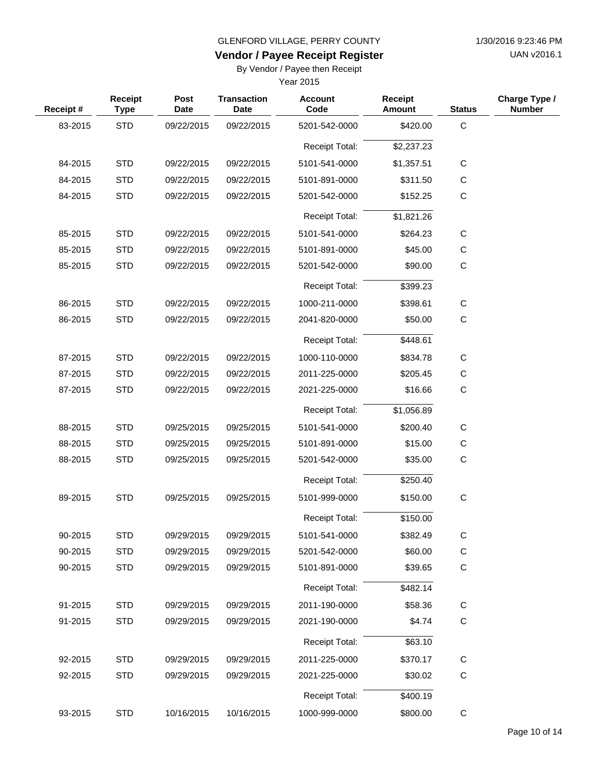UAN v2016.1

### **Vendor / Payee Receipt Register**

By Vendor / Payee then Receipt

| Receipt# | <b>Receipt</b><br><b>Type</b> | Post<br><b>Date</b> | <b>Transaction</b><br><b>Date</b> | <b>Account</b><br>Code | <b>Receipt</b><br>Amount | <b>Status</b> | Charge Type /<br><b>Number</b> |
|----------|-------------------------------|---------------------|-----------------------------------|------------------------|--------------------------|---------------|--------------------------------|
| 83-2015  | <b>STD</b>                    | 09/22/2015          | 09/22/2015                        | 5201-542-0000          | \$420.00                 | $\mathbf C$   |                                |
|          |                               |                     |                                   | <b>Receipt Total:</b>  | \$2,237.23               |               |                                |
| 84-2015  | <b>STD</b>                    | 09/22/2015          | 09/22/2015                        | 5101-541-0000          | \$1,357.51               | $\mathbf C$   |                                |
| 84-2015  | <b>STD</b>                    | 09/22/2015          | 09/22/2015                        | 5101-891-0000          | \$311.50                 | С             |                                |
| 84-2015  | <b>STD</b>                    | 09/22/2015          | 09/22/2015                        | 5201-542-0000          | \$152.25                 | $\mathbf C$   |                                |
|          |                               |                     |                                   | <b>Receipt Total:</b>  | \$1,821.26               |               |                                |
| 85-2015  | <b>STD</b>                    | 09/22/2015          | 09/22/2015                        | 5101-541-0000          | \$264.23                 | C             |                                |
| 85-2015  | <b>STD</b>                    | 09/22/2015          | 09/22/2015                        | 5101-891-0000          | \$45.00                  | С             |                                |
| 85-2015  | <b>STD</b>                    | 09/22/2015          | 09/22/2015                        | 5201-542-0000          | \$90.00                  | $\mathbf C$   |                                |
|          |                               |                     |                                   | <b>Receipt Total:</b>  | \$399.23                 |               |                                |
| 86-2015  | <b>STD</b>                    | 09/22/2015          | 09/22/2015                        | 1000-211-0000          | \$398.61                 | C             |                                |
| 86-2015  | <b>STD</b>                    | 09/22/2015          | 09/22/2015                        | 2041-820-0000          | \$50.00                  | C             |                                |
|          |                               |                     |                                   | <b>Receipt Total:</b>  | \$448.61                 |               |                                |
| 87-2015  | <b>STD</b>                    | 09/22/2015          | 09/22/2015                        | 1000-110-0000          | \$834.78                 | С             |                                |
| 87-2015  | <b>STD</b>                    | 09/22/2015          | 09/22/2015                        | 2011-225-0000          | \$205.45                 | $\mathsf C$   |                                |
| 87-2015  | <b>STD</b>                    | 09/22/2015          | 09/22/2015                        | 2021-225-0000          | \$16.66                  | $\mathbf C$   |                                |
|          |                               |                     |                                   | <b>Receipt Total:</b>  | \$1,056.89               |               |                                |
| 88-2015  | <b>STD</b>                    | 09/25/2015          | 09/25/2015                        | 5101-541-0000          | \$200.40                 | С             |                                |
| 88-2015  | <b>STD</b>                    | 09/25/2015          | 09/25/2015                        | 5101-891-0000          | \$15.00                  | $\mathsf C$   |                                |
| 88-2015  | <b>STD</b>                    | 09/25/2015          | 09/25/2015                        | 5201-542-0000          | \$35.00                  | $\mathbf C$   |                                |
|          |                               |                     |                                   | <b>Receipt Total:</b>  | \$250.40                 |               |                                |
| 89-2015  | <b>STD</b>                    | 09/25/2015          | 09/25/2015                        | 5101-999-0000          | \$150.00                 | $\mathsf C$   |                                |
|          |                               |                     |                                   | <b>Receipt Total:</b>  | \$150.00                 |               |                                |
| 90-2015  | <b>STD</b>                    | 09/29/2015          | 09/29/2015                        | 5101-541-0000          | \$382.49                 | C             |                                |
| 90-2015  | <b>STD</b>                    | 09/29/2015          | 09/29/2015                        | 5201-542-0000          | \$60.00                  | $\mathsf C$   |                                |
| 90-2015  | <b>STD</b>                    | 09/29/2015          | 09/29/2015                        | 5101-891-0000          | \$39.65                  | $\mathsf C$   |                                |
|          |                               |                     |                                   | <b>Receipt Total:</b>  | \$482.14                 |               |                                |
| 91-2015  | <b>STD</b>                    | 09/29/2015          | 09/29/2015                        | 2011-190-0000          | \$58.36                  | $\mathsf C$   |                                |
| 91-2015  | <b>STD</b>                    | 09/29/2015          | 09/29/2015                        | 2021-190-0000          | \$4.74                   | $\mathsf C$   |                                |
|          |                               |                     |                                   | <b>Receipt Total:</b>  | \$63.10                  |               |                                |
| 92-2015  | <b>STD</b>                    | 09/29/2015          | 09/29/2015                        | 2011-225-0000          | \$370.17                 | $\mathsf C$   |                                |
| 92-2015  | <b>STD</b>                    | 09/29/2015          | 09/29/2015                        | 2021-225-0000          | \$30.02                  | С             |                                |
|          |                               |                     |                                   | <b>Receipt Total:</b>  | \$400.19                 |               |                                |
| 93-2015  | <b>STD</b>                    | 10/16/2015          | 10/16/2015                        | 1000-999-0000          | \$800.00                 | ${\bf C}$     |                                |
|          |                               |                     |                                   |                        |                          |               |                                |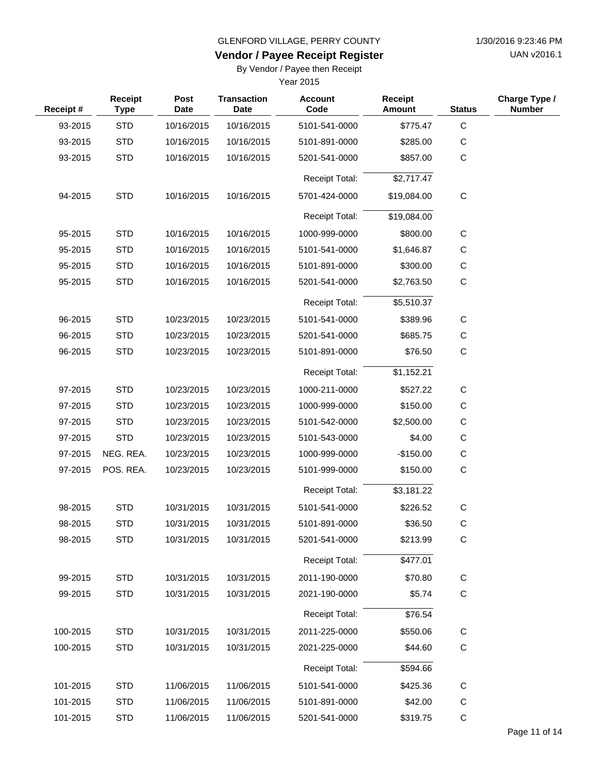UAN v2016.1

### **Vendor / Payee Receipt Register**

By Vendor / Payee then Receipt

| Receipt# | <b>Receipt</b><br><b>Type</b> | Post<br>Date | <b>Transaction</b><br><b>Date</b> | <b>Account</b><br>Code | <b>Receipt</b><br>Amount | <b>Status</b> | Charge Type /<br><b>Number</b> |
|----------|-------------------------------|--------------|-----------------------------------|------------------------|--------------------------|---------------|--------------------------------|
| 93-2015  | <b>STD</b>                    | 10/16/2015   | 10/16/2015                        | 5101-541-0000          | \$775.47                 | C             |                                |
| 93-2015  | <b>STD</b>                    | 10/16/2015   | 10/16/2015                        | 5101-891-0000          | \$285.00                 | $\mathsf C$   |                                |
| 93-2015  | <b>STD</b>                    | 10/16/2015   | 10/16/2015                        | 5201-541-0000          | \$857.00                 | $\mathsf C$   |                                |
|          |                               |              |                                   | <b>Receipt Total:</b>  | \$2,717.47               |               |                                |
| 94-2015  | <b>STD</b>                    | 10/16/2015   | 10/16/2015                        | 5701-424-0000          | \$19,084.00              | $\mathbf C$   |                                |
|          |                               |              |                                   | <b>Receipt Total:</b>  | \$19,084.00              |               |                                |
| 95-2015  | <b>STD</b>                    | 10/16/2015   | 10/16/2015                        | 1000-999-0000          | \$800.00                 | $\mathsf C$   |                                |
| 95-2015  | <b>STD</b>                    | 10/16/2015   | 10/16/2015                        | 5101-541-0000          | \$1,646.87               | C             |                                |
| 95-2015  | <b>STD</b>                    | 10/16/2015   | 10/16/2015                        | 5101-891-0000          | \$300.00                 | C             |                                |
| 95-2015  | <b>STD</b>                    | 10/16/2015   | 10/16/2015                        | 5201-541-0000          | \$2,763.50               | $\mathsf C$   |                                |
|          |                               |              |                                   | <b>Receipt Total:</b>  | \$5,510.37               |               |                                |
| 96-2015  | <b>STD</b>                    | 10/23/2015   | 10/23/2015                        | 5101-541-0000          | \$389.96                 | $\mathsf C$   |                                |
| 96-2015  | <b>STD</b>                    | 10/23/2015   | 10/23/2015                        | 5201-541-0000          | \$685.75                 | C             |                                |
| 96-2015  | <b>STD</b>                    | 10/23/2015   | 10/23/2015                        | 5101-891-0000          | \$76.50                  | $\mathsf C$   |                                |
|          |                               |              |                                   | <b>Receipt Total:</b>  | \$1,152.21               |               |                                |
| 97-2015  | <b>STD</b>                    | 10/23/2015   | 10/23/2015                        | 1000-211-0000          | \$527.22                 | $\mathsf C$   |                                |
| 97-2015  | <b>STD</b>                    | 10/23/2015   | 10/23/2015                        | 1000-999-0000          | \$150.00                 | C             |                                |
| 97-2015  | <b>STD</b>                    | 10/23/2015   | 10/23/2015                        | 5101-542-0000          | \$2,500.00               | $\mathsf C$   |                                |
| 97-2015  | <b>STD</b>                    | 10/23/2015   | 10/23/2015                        | 5101-543-0000          | \$4.00                   | C             |                                |
| 97-2015  | NEG. REA.                     | 10/23/2015   | 10/23/2015                        | 1000-999-0000          | $-$150.00$               | $\mathsf C$   |                                |
| 97-2015  | POS. REA.                     | 10/23/2015   | 10/23/2015                        | 5101-999-0000          | \$150.00                 | $\mathsf C$   |                                |
|          |                               |              |                                   | <b>Receipt Total:</b>  | \$3,181.22               |               |                                |
| 98-2015  | <b>STD</b>                    | 10/31/2015   | 10/31/2015                        | 5101-541-0000          | \$226.52                 | $\mathsf C$   |                                |
| 98-2015  | <b>STD</b>                    | 10/31/2015   | 10/31/2015                        | 5101-891-0000          | \$36.50                  | $\mathsf C$   |                                |
| 98-2015  | <b>STD</b>                    | 10/31/2015   | 10/31/2015                        | 5201-541-0000          | \$213.99                 | $\mathsf C$   |                                |
|          |                               |              |                                   | Receipt Total:         | \$477.01                 |               |                                |
| 99-2015  | <b>STD</b>                    | 10/31/2015   | 10/31/2015                        | 2011-190-0000          | \$70.80                  | $\mathsf C$   |                                |
| 99-2015  | <b>STD</b>                    | 10/31/2015   | 10/31/2015                        | 2021-190-0000          | \$5.74                   | $\mathsf C$   |                                |
|          |                               |              |                                   | Receipt Total:         | \$76.54                  |               |                                |
| 100-2015 | <b>STD</b>                    | 10/31/2015   | 10/31/2015                        | 2011-225-0000          | \$550.06                 | C             |                                |
| 100-2015 | <b>STD</b>                    | 10/31/2015   | 10/31/2015                        | 2021-225-0000          | \$44.60                  | C             |                                |
|          |                               |              |                                   | Receipt Total:         | \$594.66                 |               |                                |
| 101-2015 | <b>STD</b>                    | 11/06/2015   | 11/06/2015                        | 5101-541-0000          | \$425.36                 | $\mathsf C$   |                                |
| 101-2015 | <b>STD</b>                    | 11/06/2015   | 11/06/2015                        | 5101-891-0000          | \$42.00                  | C             |                                |
| 101-2015 | <b>STD</b>                    | 11/06/2015   | 11/06/2015                        | 5201-541-0000          | \$319.75                 | C             |                                |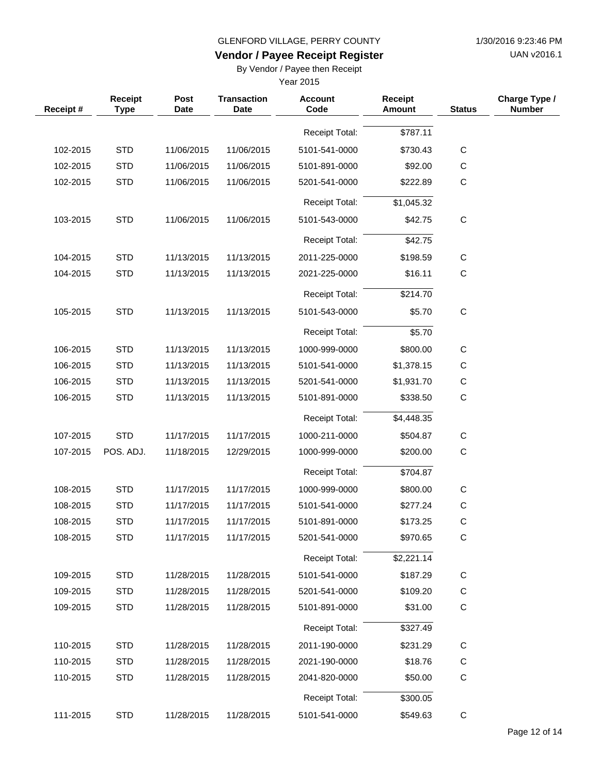UAN v2016.1

### **Vendor / Payee Receipt Register**

By Vendor / Payee then Receipt

| Receipt# | Receipt<br><b>Type</b> | Post<br><b>Date</b> | <b>Transaction</b><br><b>Date</b> | <b>Account</b><br>Code | <b>Receipt</b><br><b>Amount</b> | <b>Status</b> | Charge Type /<br><b>Number</b> |
|----------|------------------------|---------------------|-----------------------------------|------------------------|---------------------------------|---------------|--------------------------------|
|          |                        |                     |                                   | <b>Receipt Total:</b>  | \$787.11                        |               |                                |
| 102-2015 | <b>STD</b>             | 11/06/2015          | 11/06/2015                        | 5101-541-0000          | \$730.43                        | C             |                                |
| 102-2015 | <b>STD</b>             | 11/06/2015          | 11/06/2015                        | 5101-891-0000          | \$92.00                         | $\mathsf C$   |                                |
| 102-2015 | <b>STD</b>             | 11/06/2015          | 11/06/2015                        | 5201-541-0000          | \$222.89                        | $\mathsf C$   |                                |
|          |                        |                     |                                   | <b>Receipt Total:</b>  | \$1,045.32                      |               |                                |
| 103-2015 | <b>STD</b>             | 11/06/2015          | 11/06/2015                        | 5101-543-0000          | \$42.75                         | $\mathbf C$   |                                |
|          |                        |                     |                                   | <b>Receipt Total:</b>  | \$42.75                         |               |                                |
| 104-2015 | <b>STD</b>             | 11/13/2015          | 11/13/2015                        | 2011-225-0000          | \$198.59                        | $\mathbf C$   |                                |
| 104-2015 | <b>STD</b>             | 11/13/2015          | 11/13/2015                        | 2021-225-0000          | \$16.11                         | $\mathsf C$   |                                |
|          |                        |                     |                                   | <b>Receipt Total:</b>  | \$214.70                        |               |                                |
| 105-2015 | <b>STD</b>             | 11/13/2015          | 11/13/2015                        | 5101-543-0000          | \$5.70                          | $\mathsf C$   |                                |
|          |                        |                     |                                   | <b>Receipt Total:</b>  | \$5.70                          |               |                                |
| 106-2015 | <b>STD</b>             | 11/13/2015          | 11/13/2015                        | 1000-999-0000          | \$800.00                        | C             |                                |
| 106-2015 | <b>STD</b>             | 11/13/2015          | 11/13/2015                        | 5101-541-0000          | \$1,378.15                      | $\mathsf C$   |                                |
| 106-2015 | <b>STD</b>             | 11/13/2015          | 11/13/2015                        | 5201-541-0000          | \$1,931.70                      | C             |                                |
| 106-2015 | <b>STD</b>             | 11/13/2015          | 11/13/2015                        | 5101-891-0000          | \$338.50                        | $\mathsf{C}$  |                                |
|          |                        |                     |                                   | <b>Receipt Total:</b>  | \$4,448.35                      |               |                                |
| 107-2015 | <b>STD</b>             | 11/17/2015          | 11/17/2015                        | 1000-211-0000          | \$504.87                        | $\mathsf{C}$  |                                |
| 107-2015 | POS. ADJ.              | 11/18/2015          | 12/29/2015                        | 1000-999-0000          | \$200.00                        | $\mathsf C$   |                                |
|          |                        |                     |                                   | <b>Receipt Total:</b>  | \$704.87                        |               |                                |
| 108-2015 | <b>STD</b>             | 11/17/2015          | 11/17/2015                        | 1000-999-0000          | \$800.00                        | $\mathsf C$   |                                |
| 108-2015 | <b>STD</b>             | 11/17/2015          | 11/17/2015                        | 5101-541-0000          | \$277.24                        | C             |                                |
| 108-2015 | <b>STD</b>             | 11/17/2015          | 11/17/2015                        | 5101-891-0000          | \$173.25                        | $\mathsf C$   |                                |
| 108-2015 | <b>STD</b>             | 11/17/2015          | 11/17/2015                        | 5201-541-0000          | \$970.65                        | $\mathsf C$   |                                |
|          |                        |                     |                                   | Receipt Total:         | \$2,221.14                      |               |                                |
| 109-2015 | <b>STD</b>             | 11/28/2015          | 11/28/2015                        | 5101-541-0000          | \$187.29                        | $\mathsf C$   |                                |
| 109-2015 | <b>STD</b>             | 11/28/2015          | 11/28/2015                        | 5201-541-0000          | \$109.20                        | $\mathsf{C}$  |                                |
| 109-2015 | <b>STD</b>             | 11/28/2015          | 11/28/2015                        | 5101-891-0000          | \$31.00                         | $\mathsf C$   |                                |
|          |                        |                     |                                   | Receipt Total:         | \$327.49                        |               |                                |
| 110-2015 | <b>STD</b>             | 11/28/2015          | 11/28/2015                        | 2011-190-0000          | \$231.29                        | $\mathsf{C}$  |                                |
| 110-2015 | <b>STD</b>             | 11/28/2015          | 11/28/2015                        | 2021-190-0000          | \$18.76                         | $\mathsf{C}$  |                                |
| 110-2015 | <b>STD</b>             | 11/28/2015          | 11/28/2015                        | 2041-820-0000          | \$50.00                         | $\mathbf C$   |                                |
|          |                        |                     |                                   | Receipt Total:         | \$300.05                        |               |                                |
| 111-2015 | <b>STD</b>             | 11/28/2015          | 11/28/2015                        | 5101-541-0000          | \$549.63                        | $\mathsf C$   |                                |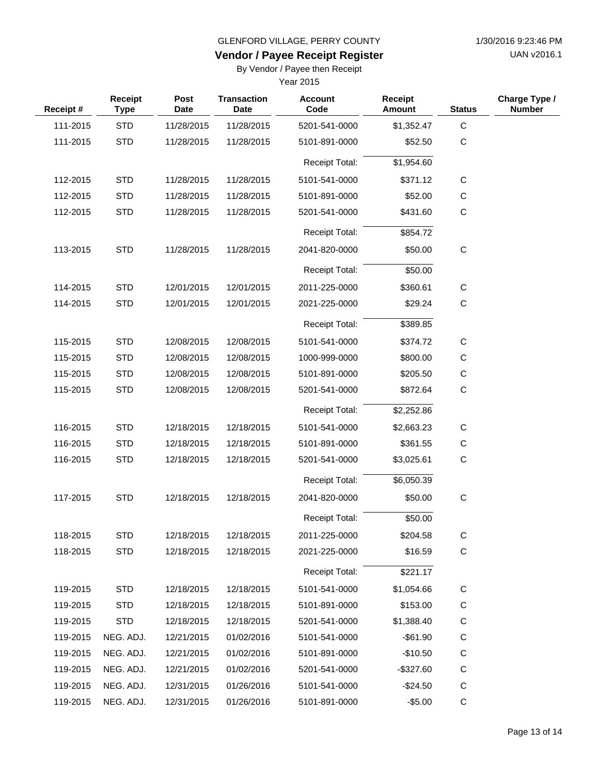UAN v2016.1

# **Vendor / Payee Receipt Register**

By Vendor / Payee then Receipt

| Receipt# | Receipt<br><b>Type</b> | Post<br><b>Date</b> | <b>Transaction</b><br><b>Date</b> | <b>Account</b><br>Code | <b>Receipt</b><br>Amount | <b>Status</b> | Charge Type /<br><b>Number</b> |
|----------|------------------------|---------------------|-----------------------------------|------------------------|--------------------------|---------------|--------------------------------|
| 111-2015 | <b>STD</b>             | 11/28/2015          | 11/28/2015                        | 5201-541-0000          | \$1,352.47               | $\mathbf C$   |                                |
| 111-2015 | <b>STD</b>             | 11/28/2015          | 11/28/2015                        | 5101-891-0000          | \$52.50                  | $\mathbf C$   |                                |
|          |                        |                     |                                   | <b>Receipt Total:</b>  | \$1,954.60               |               |                                |
| 112-2015 | <b>STD</b>             | 11/28/2015          | 11/28/2015                        | 5101-541-0000          | \$371.12                 | $\mathbf C$   |                                |
| 112-2015 | <b>STD</b>             | 11/28/2015          | 11/28/2015                        | 5101-891-0000          | \$52.00                  | $\mathsf{C}$  |                                |
| 112-2015 | <b>STD</b>             | 11/28/2015          | 11/28/2015                        | 5201-541-0000          | \$431.60                 | $\mathbf C$   |                                |
|          |                        |                     |                                   | <b>Receipt Total:</b>  | \$854.72                 |               |                                |
| 113-2015 | <b>STD</b>             | 11/28/2015          | 11/28/2015                        | 2041-820-0000          | \$50.00                  | $\mathbf C$   |                                |
|          |                        |                     |                                   | <b>Receipt Total:</b>  | \$50.00                  |               |                                |
| 114-2015 | <b>STD</b>             | 12/01/2015          | 12/01/2015                        | 2011-225-0000          | \$360.61                 | C             |                                |
| 114-2015 | <b>STD</b>             | 12/01/2015          | 12/01/2015                        | 2021-225-0000          | \$29.24                  | C             |                                |
|          |                        |                     |                                   | <b>Receipt Total:</b>  | \$389.85                 |               |                                |
| 115-2015 | <b>STD</b>             | 12/08/2015          | 12/08/2015                        | 5101-541-0000          | \$374.72                 | C             |                                |
| 115-2015 | <b>STD</b>             | 12/08/2015          | 12/08/2015                        | 1000-999-0000          | \$800.00                 | C             |                                |
| 115-2015 | <b>STD</b>             | 12/08/2015          | 12/08/2015                        | 5101-891-0000          | \$205.50                 | $\mathsf{C}$  |                                |
| 115-2015 | <b>STD</b>             | 12/08/2015          | 12/08/2015                        | 5201-541-0000          | \$872.64                 | $\mathsf{C}$  |                                |
|          |                        |                     |                                   | Receipt Total:         | \$2,252.86               |               |                                |
| 116-2015 | <b>STD</b>             | 12/18/2015          | 12/18/2015                        | 5101-541-0000          | \$2,663.23               | $\mathsf{C}$  |                                |
| 116-2015 | <b>STD</b>             | 12/18/2015          | 12/18/2015                        | 5101-891-0000          | \$361.55                 | C             |                                |
| 116-2015 | <b>STD</b>             | 12/18/2015          | 12/18/2015                        | 5201-541-0000          | \$3,025.61               | $\mathsf{C}$  |                                |
|          |                        |                     |                                   | <b>Receipt Total:</b>  | \$6,050.39               |               |                                |
| 117-2015 | <b>STD</b>             | 12/18/2015          | 12/18/2015                        | 2041-820-0000          | \$50.00                  | $\mathsf C$   |                                |
|          |                        |                     |                                   | <b>Receipt Total:</b>  | \$50.00                  |               |                                |
| 118-2015 | <b>STD</b>             | 12/18/2015          | 12/18/2015                        | 2011-225-0000          | \$204.58                 | $\mathsf{C}$  |                                |
| 118-2015 | <b>STD</b>             | 12/18/2015          | 12/18/2015                        | 2021-225-0000          | \$16.59                  | C             |                                |
|          |                        |                     |                                   | <b>Receipt Total:</b>  | \$221.17                 |               |                                |
| 119-2015 | <b>STD</b>             | 12/18/2015          | 12/18/2015                        | 5101-541-0000          | \$1,054.66               | C             |                                |
| 119-2015 | <b>STD</b>             | 12/18/2015          | 12/18/2015                        | 5101-891-0000          | \$153.00                 | C             |                                |
| 119-2015 | <b>STD</b>             | 12/18/2015          | 12/18/2015                        | 5201-541-0000          | \$1,388.40               | C             |                                |
| 119-2015 | NEG. ADJ.              | 12/21/2015          | 01/02/2016                        | 5101-541-0000          | $-$ \$61.90              | C             |                                |
| 119-2015 | NEG. ADJ.              | 12/21/2015          | 01/02/2016                        | 5101-891-0000          | $-$10.50$                | C             |                                |
| 119-2015 | NEG. ADJ.              | 12/21/2015          | 01/02/2016                        | 5201-541-0000          | $-$ \$327.60             | C             |                                |
| 119-2015 | NEG. ADJ.              | 12/31/2015          | 01/26/2016                        | 5101-541-0000          | $-$ \$24.50              | C             |                                |
| 119-2015 | NEG. ADJ.              | 12/31/2015          | 01/26/2016                        | 5101-891-0000          | $-$5.00$                 | C             |                                |